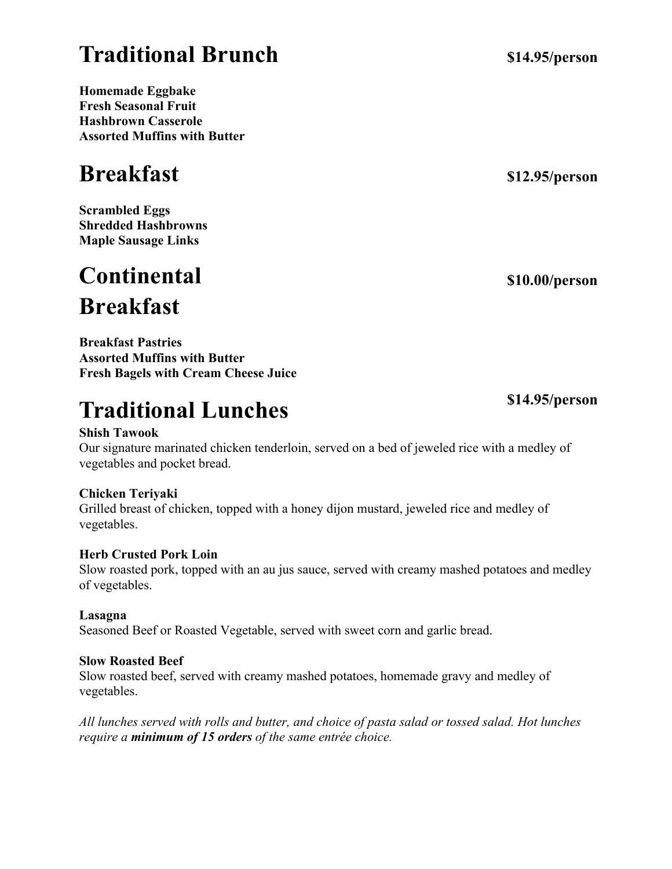## **Traditional Brunch**

**Homemade Eggbake Fresh Seasonal Fruit Hashbrown Casserole Assorted Muffins with Butter**

## **Breakfast**

**Scrambled Eggs Shredded Hashbrowns Maple Sausage Links**

## **Continental Breakfast**

**Breakfast Pastries Assorted Muffins with Butter Fresh Bagels with Cream Cheese Juice**

## **Traditional Lunches**

## **Shish Tawook**

Our signature marinated chicken tenderloin, served on a bed of jeweled rice with a medley of vegetables and pocket bread.

## **Chicken Teriyaki**

Grilled breast of chicken, topped with a honey dijon mustard, jeweled rice and medley of vegetables.

## **Herb Crusted Pork Loin**

Slow roasted pork, topped with an au jus sauce, served with creamy mashed potatoes and medley of vegetables.

## **Lasagna**

Seasoned Beef or Roasted Vegetable, served with sweet corn and garlic bread.

## **Slow Roasted Beef**

Slow roasted beef, served with creamy mashed potatoes, homemade gravy and medley of vegetables.

*All lunches served with rolls and butter, and choice of pasta salad or tossed salad. Hot lunches require a minimum of 15 orders of the same entrée choice.*

**\$12.95/person**

**\$10.00/person** 

## **\$14.95/person**

**\$14.95/person**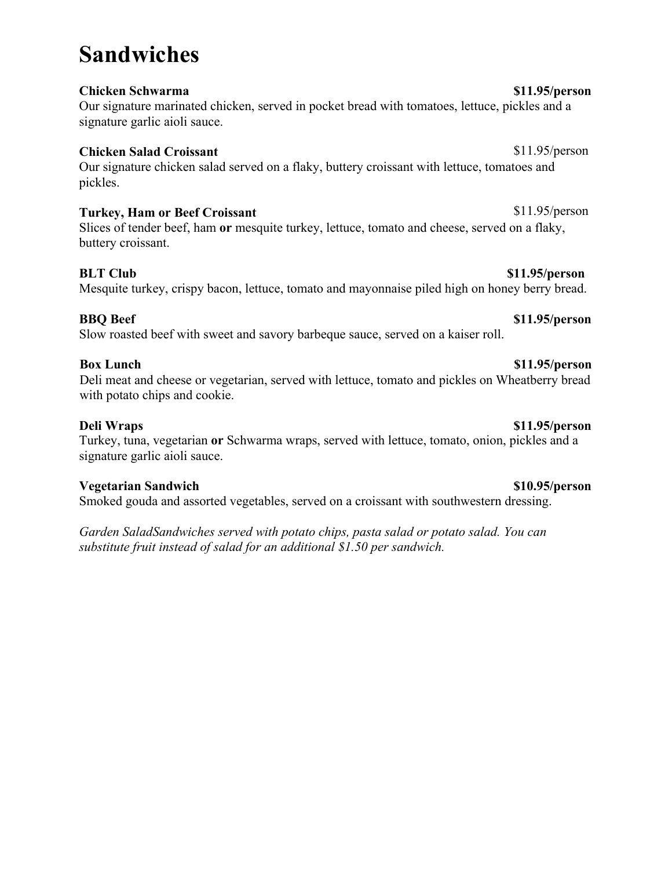### **Chicken Schwarma \$11.95/person**

Our signature marinated chicken, served in pocket bread with tomatoes, lettuce, pickles and a signature garlic aioli sauce.

### **Chicken Salad Croissant** \$11.95/person

Our signature chicken salad served on a flaky, buttery croissant with lettuce, tomatoes and pickles.

### **Turkey, Ham or Beef Croissant** \$11.95/person

Slices of tender beef, ham **or** mesquite turkey, lettuce, tomato and cheese, served on a flaky, buttery croissant.

Mesquite turkey, crispy bacon, lettuce, tomato and mayonnaise piled high on honey berry bread.

### **BBQ Beef \$11.95/person**

Slow roasted beef with sweet and savory barbeque sauce, served on a kaiser roll.

### **Box Lunch \$11.95/person**

Deli meat and cheese or vegetarian, served with lettuce, tomato and pickles on Wheatberry bread with potato chips and cookie.

### **Deli Wraps \$11.95/person**

Turkey, tuna, vegetarian **or** Schwarma wraps, served with lettuce, tomato, onion, pickles and a signature garlic aioli sauce.

### **Vegetarian Sandwich \$10.95/person**

Smoked gouda and assorted vegetables, served on a croissant with southwestern dressing.

*Garden SaladSandwiches served with potato chips, pasta salad or potato salad. You can substitute fruit instead of salad for an additional \$1.50 per sandwich.*

## **Sandwiches**

### **BLT Club \$11.95/person**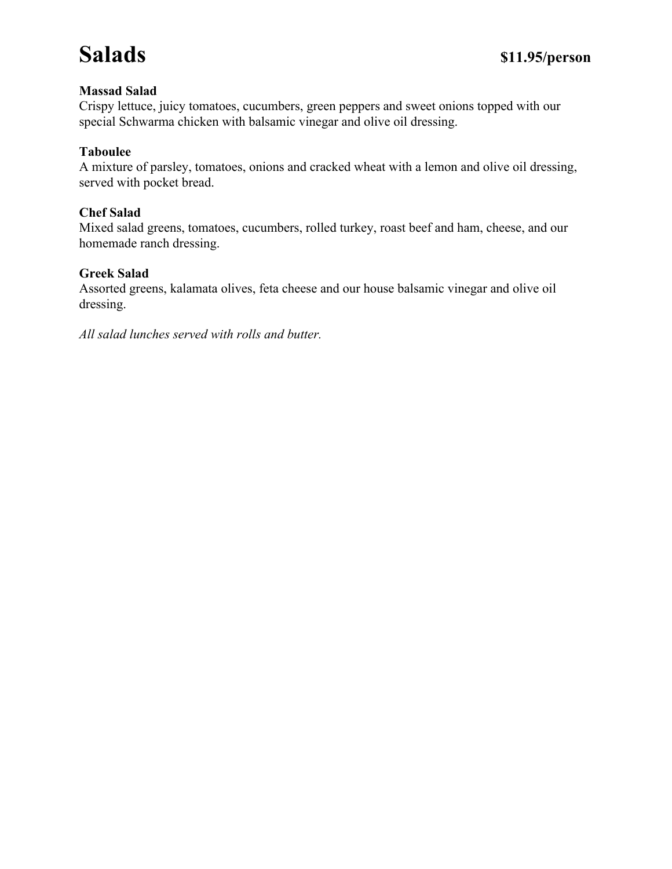## **Salads \$11.95/person**

### **Massad Salad**

Crispy lettuce, juicy tomatoes, cucumbers, green peppers and sweet onions topped with our special Schwarma chicken with balsamic vinegar and olive oil dressing.

### **Taboulee**

A mixture of parsley, tomatoes, onions and cracked wheat with a lemon and olive oil dressing, served with pocket bread.

### **Chef Salad**

Mixed salad greens, tomatoes, cucumbers, rolled turkey, roast beef and ham, cheese, and our homemade ranch dressing.

### **Greek Salad**

Assorted greens, kalamata olives, feta cheese and our house balsamic vinegar and olive oil dressing.

*All salad lunches served with rolls and butter.*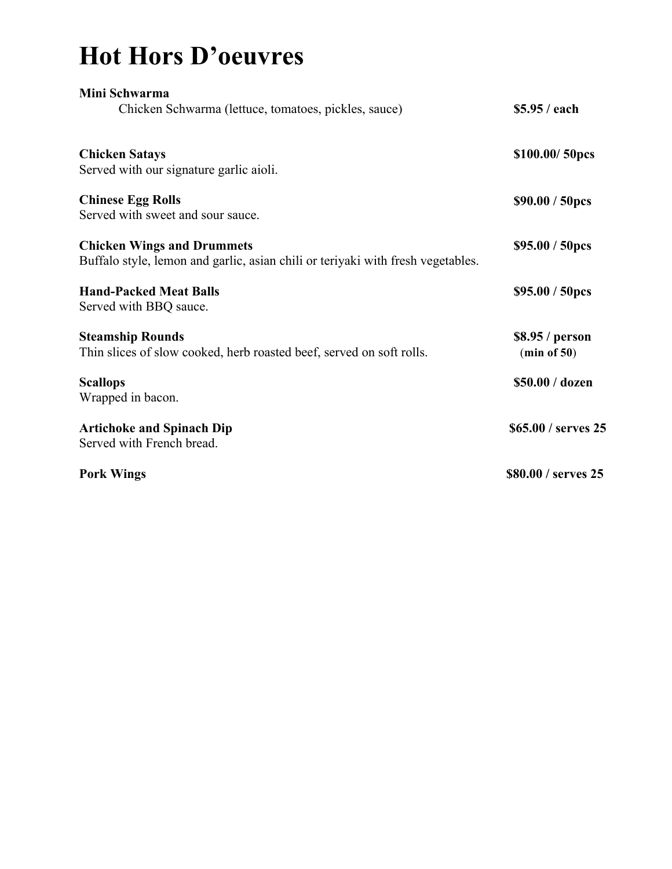# **Hot Hors D'oeuvres**

| Mini Schwarma                                                                                                        |                                |
|----------------------------------------------------------------------------------------------------------------------|--------------------------------|
| Chicken Schwarma (lettuce, tomatoes, pickles, sauce)                                                                 | \$5.95 / each                  |
| <b>Chicken Satays</b>                                                                                                | \$100.00/50pcs                 |
| Served with our signature garlic aioli.                                                                              |                                |
| <b>Chinese Egg Rolls</b><br>Served with sweet and sour sauce.                                                        | \$90.00 / 50pcs                |
| <b>Chicken Wings and Drummets</b><br>Buffalo style, lemon and garlic, asian chili or teriyaki with fresh vegetables. | \$95.00 / 50pcs                |
| <b>Hand-Packed Meat Balls</b><br>Served with BBQ sauce.                                                              | \$95.00 / 50pcs                |
| <b>Steamship Rounds</b><br>Thin slices of slow cooked, herb roasted beef, served on soft rolls.                      | \$8.95 / person<br>(min of 50) |
| <b>Scallops</b><br>Wrapped in bacon.                                                                                 | \$50.00 / dozen                |
| <b>Artichoke and Spinach Dip</b><br>Served with French bread.                                                        | \$65.00 / serves 25            |
| <b>Pork Wings</b>                                                                                                    | \$80.00 / serves 25            |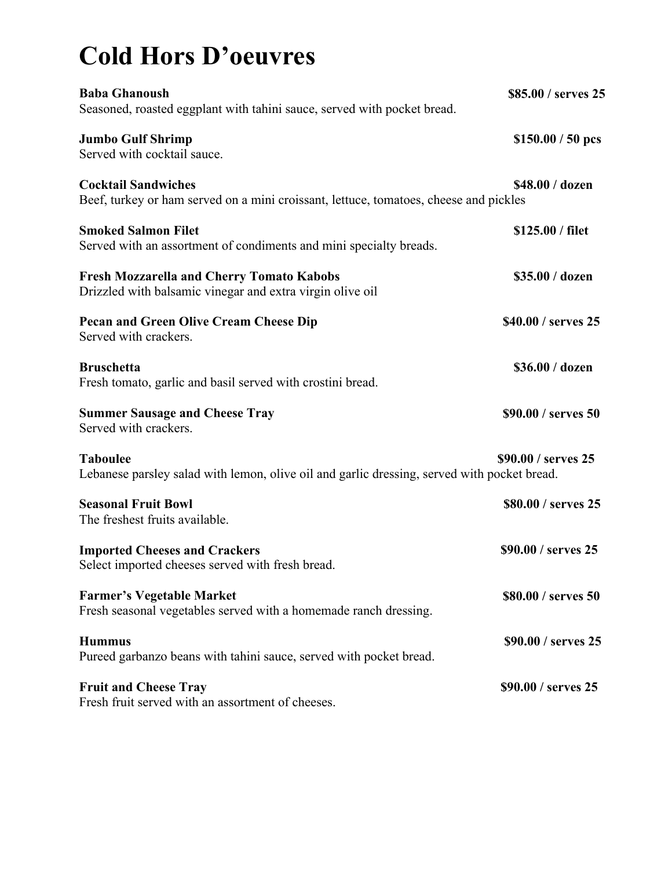# **Cold Hors D'oeuvres**

| <b>Baba Ghanoush</b><br>Seasoned, roasted eggplant with tahini sauce, served with pocket bread.                     | \$85.00 / serves 25 |
|---------------------------------------------------------------------------------------------------------------------|---------------------|
| <b>Jumbo Gulf Shrimp</b><br>Served with cocktail sauce.                                                             | $$150.00 / 50$ pcs  |
| <b>Cocktail Sandwiches</b><br>Beef, turkey or ham served on a mini croissant, lettuce, tomatoes, cheese and pickles | \$48.00 / dozen     |
| <b>Smoked Salmon Filet</b><br>Served with an assortment of condiments and mini specialty breads.                    | \$125.00 / filet    |
| <b>Fresh Mozzarella and Cherry Tomato Kabobs</b><br>Drizzled with balsamic vinegar and extra virgin olive oil       | \$35.00 / dozen     |
| <b>Pecan and Green Olive Cream Cheese Dip</b><br>Served with crackers.                                              | \$40.00 / serves 25 |
| <b>Bruschetta</b><br>Fresh tomato, garlic and basil served with crostini bread.                                     | \$36.00 / dozen     |
| <b>Summer Sausage and Cheese Tray</b><br>Served with crackers.                                                      | \$90.00 / serves 50 |
| <b>Taboulee</b><br>Lebanese parsley salad with lemon, olive oil and garlic dressing, served with pocket bread.      | \$90.00 / serves 25 |
| <b>Seasonal Fruit Bowl</b><br>The freshest fruits available.                                                        | \$80.00 / serves 25 |
| <b>Imported Cheeses and Crackers</b><br>Select imported cheeses served with fresh bread.                            | \$90.00 / serves 25 |
| <b>Farmer's Vegetable Market</b><br>Fresh seasonal vegetables served with a homemade ranch dressing.                | \$80.00 / serves 50 |
| <b>Hummus</b><br>Pureed garbanzo beans with tahini sauce, served with pocket bread.                                 | \$90.00 / serves 25 |
| <b>Fruit and Cheese Tray</b><br>Fresh fruit served with an assortment of cheeses.                                   | \$90.00 / serves 25 |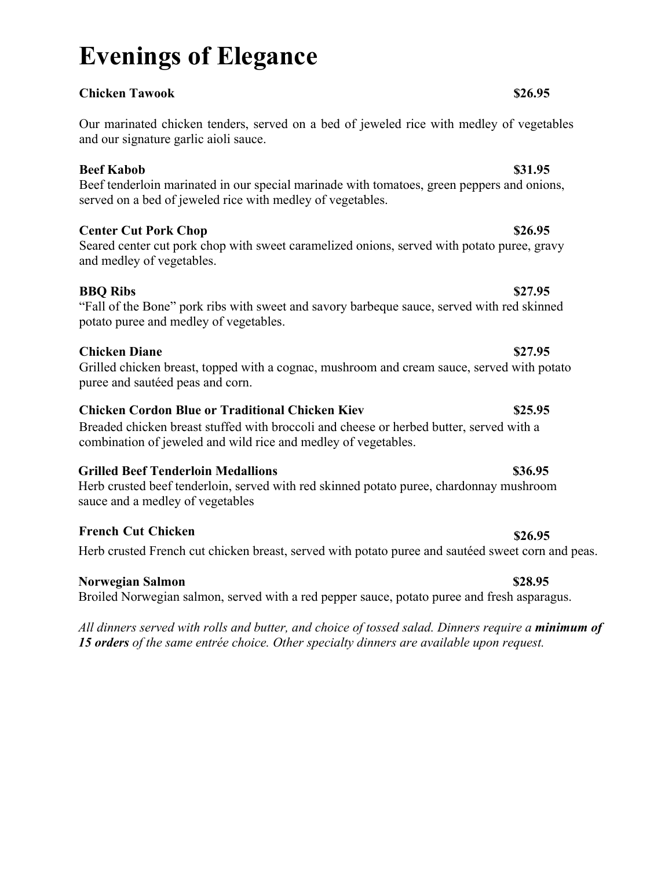# **Evenings of Elegance**

**Chicken Tawook \$26.95**

Our marinated chicken tenders, served on a bed of jeweled rice with medley of vegetables and our signature garlic aioli sauce.

### **Beef Kabob** \$31.95

Beef tenderloin marinated in our special marinade with tomatoes, green peppers and onions, served on a bed of jeweled rice with medley of vegetables.

### **Center Cut Pork Chop \$26.95**

Seared center cut pork chop with sweet caramelized onions, served with potato puree, gravy and medley of vegetables.

### **BBQ Ribs \$27.95**

"Fall of the Bone" pork ribs with sweet and savory barbeque sauce, served with red skinned potato puree and medley of vegetables.

### **Chicken Diane \$27.95**

Grilled chicken breast, topped with a cognac, mushroom and cream sauce, served with potato puree and sautéed peas and corn.

### **Chicken Cordon Blue or Traditional Chicken Kiev \$25.95**

Breaded chicken breast stuffed with broccoli and cheese or herbed butter, served with a combination of jeweled and wild rice and medley of vegetables.

### **Grilled Beef Tenderloin Medallions \$36.95**

Herb crusted beef tenderloin, served with red skinned potato puree, chardonnay mushroom sauce and a medley of vegetables

### **French Cut Chicken \$26.95**

Herb crusted French cut chicken breast, served with potato puree and sautéed sweet corn and peas.

### **Norwegian Salmon \$28.95**

Broiled Norwegian salmon, served with a red pepper sauce, potato puree and fresh asparagus.

*All dinners served with rolls and butter, and choice of tossed salad. Dinners require a minimum of 15 orders of the same entrée choice. Other specialty dinners are available upon request.*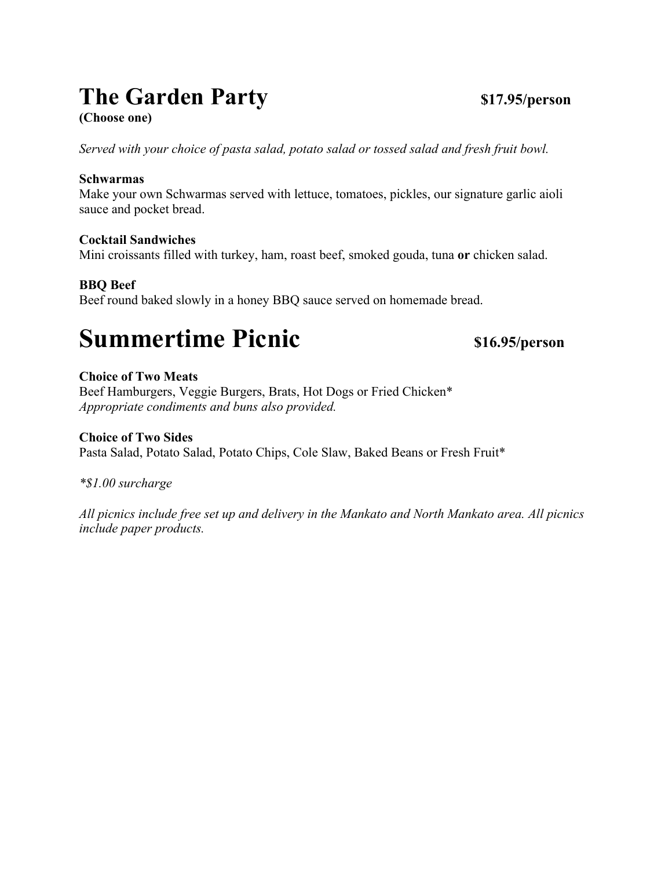## **The Garden Party \$17.95/person**

**(Choose one)** 

*Served with your choice of pasta salad, potato salad or tossed salad and fresh fruit bowl.*

### **Schwarmas**

Make your own Schwarmas served with lettuce, tomatoes, pickles, our signature garlic aioli sauce and pocket bread.

### **Cocktail Sandwiches**

Mini croissants filled with turkey, ham, roast beef, smoked gouda, tuna **or** chicken salad.

### **BBQ Beef**

Beef round baked slowly in a honey BBQ sauce served on homemade bread.

## **Summertime Picnic** \$16.95/person

### **Choice of Two Meats**

Beef Hamburgers, Veggie Burgers, Brats, Hot Dogs or Fried Chicken\* *Appropriate condiments and buns also provided.* 

### **Choice of Two Sides**

Pasta Salad, Potato Salad, Potato Chips, Cole Slaw, Baked Beans or Fresh Fruit\*

### *\*\$1.00 surcharge*

*All picnics include free set up and delivery in the Mankato and North Mankato area. All picnics include paper products.*